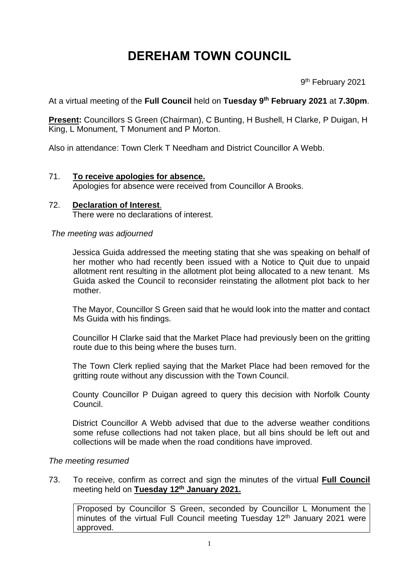# **DEREHAM TOWN COUNCIL**

 9 9<sup>th</sup> February 2021

At a virtual meeting of the **Full Council** held on **Tuesday 9 th February 2021** at **7.30pm**.

**Present:** Councillors S Green (Chairman), C Bunting, H Bushell, H Clarke, P Duigan, H King, L Monument, T Monument and P Morton.

Also in attendance: Town Clerk T Needham and District Councillor A Webb.

# 71. **To receive apologies for absence.**

Apologies for absence were received from Councillor A Brooks.

### 72. **Declaration of Interest**. There were no declarations of interest.

# *The meeting was adjourned*

Jessica Guida addressed the meeting stating that she was speaking on behalf of her mother who had recently been issued with a Notice to Quit due to unpaid allotment rent resulting in the allotment plot being allocated to a new tenant. Ms Guida asked the Council to reconsider reinstating the allotment plot back to her mother.

The Mayor, Councillor S Green said that he would look into the matter and contact Ms Guida with his findings.

Councillor H Clarke said that the Market Place had previously been on the gritting route due to this being where the buses turn.

The Town Clerk replied saying that the Market Place had been removed for the gritting route without any discussion with the Town Council.

County Councillor P Duigan agreed to query this decision with Norfolk County Council.

District Councillor A Webb advised that due to the adverse weather conditions some refuse collections had not taken place, but all bins should be left out and collections will be made when the road conditions have improved.

### *The meeting resumed*

### 73. To receive, confirm as correct and sign the minutes of the virtual **Full Council**  meeting held on **Tuesday 12th January 2021.**

Proposed by Councillor S Green, seconded by Councillor L Monument the minutes of the virtual Full Council meeting Tuesday 12<sup>th</sup> January 2021 were approved.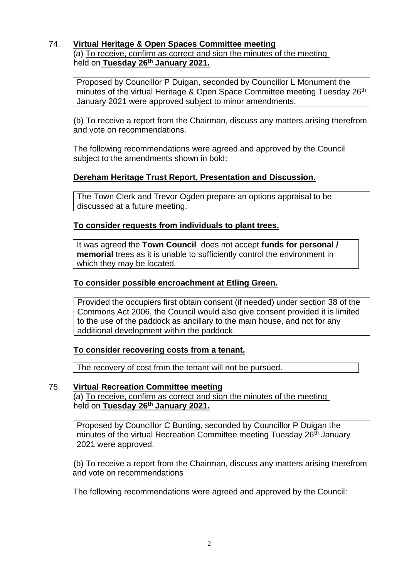#### 74. **Virtual Heritage & Open Spaces Committee meeting** (a) To receive, confirm as correct and sign the minutes of the meeting held on **Tuesday 26th January 2021.**

Proposed by Councillor P Duigan, seconded by Councillor L Monument the minutes of the virtual Heritage & Open Space Committee meeting Tuesday 26<sup>th</sup> January 2021 were approved subject to minor amendments.

(b) To receive a report from the Chairman, discuss any matters arising therefrom and vote on recommendations.

The following recommendations were agreed and approved by the Council subject to the amendments shown in bold:

# **Dereham Heritage Trust Report, Presentation and Discussion.**

The Town Clerk and Trevor Ogden prepare an options appraisal to be discussed at a future meeting.

### **To consider requests from individuals to plant trees.**

It was agreed the **Town Council** does not accept **funds for personal / memorial** trees as it is unable to sufficiently control the environment in which they may be located.

### **To consider possible encroachment at Etling Green.**

Provided the occupiers first obtain consent (if needed) under section 38 of the Commons Act 2006, the Council would also give consent provided it is limited to the use of the paddock as ancillary to the main house, and not for any additional development within the paddock.

### **To consider recovering costs from a tenant.**

The recovery of cost from the tenant will not be pursued.

### 75. **Virtual Recreation Committee meeting**

(a) To receive, confirm as correct and sign the minutes of the meeting held on **Tuesday 26th January 2021.**

Proposed by Councillor C Bunting, seconded by Councillor P Duigan the minutes of the virtual Recreation Committee meeting Tuesday 26<sup>th</sup> January 2021 were approved.

(b) To receive a report from the Chairman, discuss any matters arising therefrom and vote on recommendations

The following recommendations were agreed and approved by the Council: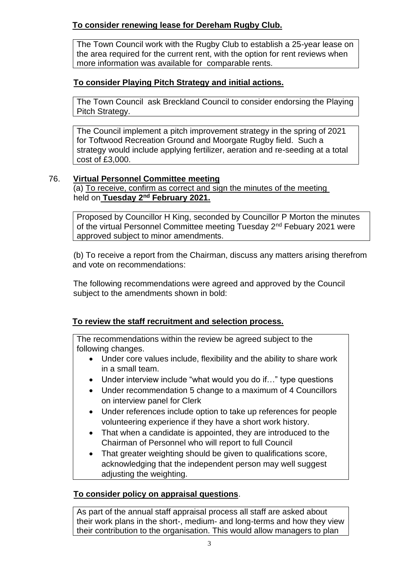# **To consider renewing lease for Dereham Rugby Club.**

The Town Council work with the Rugby Club to establish a 25-year lease on the area required for the current rent, with the option for rent reviews when more information was available for comparable rents.

# **To consider Playing Pitch Strategy and initial actions.**

The Town Council ask Breckland Council to consider endorsing the Playing Pitch Strategy.

The Council implement a pitch improvement strategy in the spring of 2021 for Toftwood Recreation Ground and Moorgate Rugby field. Such a strategy would include applying fertilizer, aeration and re-seeding at a total cost of £3,000.

# 76. **Virtual Personnel Committee meeting**

(a) To receive, confirm as correct and sign the minutes of the meeting held on **Tuesday 2nd February 2021.**

Proposed by Councillor H King, seconded by Councillor P Morton the minutes of the virtual Personnel Committee meeting Tuesday 2<sup>nd</sup> Febuary 2021 were approved subject to minor amendments.

(b) To receive a report from the Chairman, discuss any matters arising therefrom and vote on recommendations:

The following recommendations were agreed and approved by the Council subject to the amendments shown in bold:

# **To review the staff recruitment and selection process.**

The recommendations within the review be agreed subject to the following changes.

- Under core values include, flexibility and the ability to share work in a small team.
- Under interview include "what would you do if..." type questions
- Under recommendation 5 change to a maximum of 4 Councillors on interview panel for Clerk
- Under references include option to take up references for people volunteering experience if they have a short work history.
- That when a candidate is appointed, they are introduced to the Chairman of Personnel who will report to full Council
- That greater weighting should be given to qualifications score, acknowledging that the independent person may well suggest adjusting the weighting.

# **To consider policy on appraisal questions**.

As part of the annual staff appraisal process all staff are asked about their work plans in the short-, medium- and long-terms and how they view their contribution to the organisation. This would allow managers to plan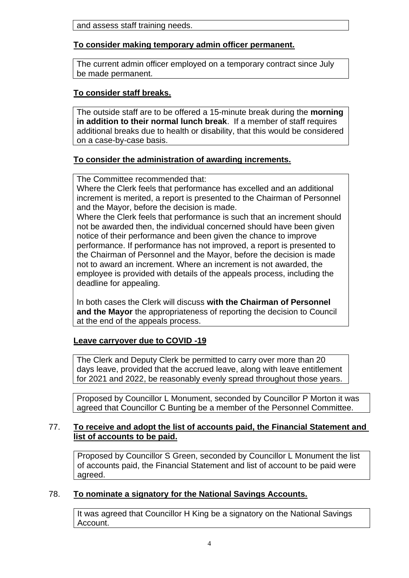and assess staff training needs.

### **To consider making temporary admin officer permanent.**

The current admin officer employed on a temporary contract since July be made permanent.

### **To consider staff breaks.**

The outside staff are to be offered a 15-minute break during the **morning in addition to their normal lunch break**. If a member of staff requires additional breaks due to health or disability, that this would be considered on a case-by-case basis.

### **To consider the administration of awarding increments.**

The Committee recommended that:

Where the Clerk feels that performance has excelled and an additional increment is merited, a report is presented to the Chairman of Personnel and the Mayor, before the decision is made.

Where the Clerk feels that performance is such that an increment should not be awarded then, the individual concerned should have been given notice of their performance and been given the chance to improve performance. If performance has not improved, a report is presented to the Chairman of Personnel and the Mayor, before the decision is made not to award an increment. Where an increment is not awarded, the employee is provided with details of the appeals process, including the deadline for appealing.

In both cases the Clerk will discuss **with the Chairman of Personnel and the Mayor** the appropriateness of reporting the decision to Council at the end of the appeals process.

# **Leave carryover due to COVID -19**

The Clerk and Deputy Clerk be permitted to carry over more than 20 days leave, provided that the accrued leave, along with leave entitlement for 2021 and 2022, be reasonably evenly spread throughout those years.

Proposed by Councillor L Monument, seconded by Councillor P Morton it was agreed that Councillor C Bunting be a member of the Personnel Committee.

### 77. **To receive and adopt the list of accounts paid, the Financial Statement and list of accounts to be paid.**

Proposed by Councillor S Green, seconded by Councillor L Monument the list of accounts paid, the Financial Statement and list of account to be paid were agreed.

### 78. **To nominate a signatory for the National Savings Accounts.**

It was agreed that Councillor H King be a signatory on the National Savings Account.